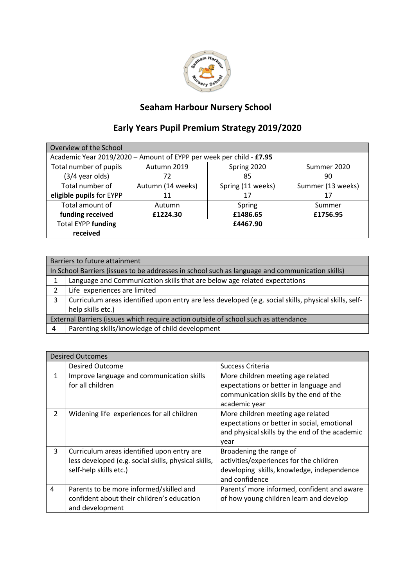

## **Seaham Harbour Nursery School**

## **Early Years Pupil Premium Strategy 2019/2020**

| Overview of the School                                              |                   |                   |                   |  |  |
|---------------------------------------------------------------------|-------------------|-------------------|-------------------|--|--|
| Academic Year 2019/2020 - Amount of EYPP per week per child - £7.95 |                   |                   |                   |  |  |
| Total number of pupils                                              | Autumn 2019       | Spring 2020       | Summer 2020       |  |  |
| $(3/4$ year olds)                                                   | 72                | 85                | 90                |  |  |
| Total number of                                                     | Autumn (14 weeks) | Spring (11 weeks) | Summer (13 weeks) |  |  |
| eligible pupils for EYPP                                            | 11                | 17                | 17                |  |  |
| Total amount of                                                     | Autumn            | Spring            | Summer            |  |  |
| funding received                                                    | £1224.30          | £1486.65          | £1756.95          |  |  |
| <b>Total EYPP funding</b>                                           | £4467.90          |                   |                   |  |  |
| received                                                            |                   |                   |                   |  |  |

|                                                                                                 | Barriers to future attainment                                                                         |  |
|-------------------------------------------------------------------------------------------------|-------------------------------------------------------------------------------------------------------|--|
| In School Barriers (issues to be addresses in school such as language and communication skills) |                                                                                                       |  |
|                                                                                                 | Language and Communication skills that are below age related expectations                             |  |
| 2                                                                                               | Life experiences are limited                                                                          |  |
| 3                                                                                               | Curriculum areas identified upon entry are less developed (e.g. social skills, physical skills, self- |  |
|                                                                                                 | help skills etc.)                                                                                     |  |
| External Barriers (issues which require action outside of school such as attendance             |                                                                                                       |  |
| 4                                                                                               | Parenting skills/knowledge of child development                                                       |  |

| <b>Desired Outcomes</b> |                                                                                                                              |                                                                                                                                            |  |  |
|-------------------------|------------------------------------------------------------------------------------------------------------------------------|--------------------------------------------------------------------------------------------------------------------------------------------|--|--|
|                         | <b>Desired Outcome</b>                                                                                                       | Success Criteria                                                                                                                           |  |  |
| 1                       | Improve language and communication skills<br>for all children                                                                | More children meeting age related<br>expectations or better in language and<br>communication skills by the end of the<br>academic year     |  |  |
| $\mathcal{P}$           | Widening life experiences for all children                                                                                   | More children meeting age related<br>expectations or better in social, emotional<br>and physical skills by the end of the academic<br>year |  |  |
| 3                       | Curriculum areas identified upon entry are<br>less developed (e.g. social skills, physical skills,<br>self-help skills etc.) | Broadening the range of<br>activities/experiences for the children<br>developing skills, knowledge, independence<br>and confidence         |  |  |
| 4                       | Parents to be more informed/skilled and<br>confident about their children's education<br>and development                     | Parents' more informed, confident and aware<br>of how young children learn and develop                                                     |  |  |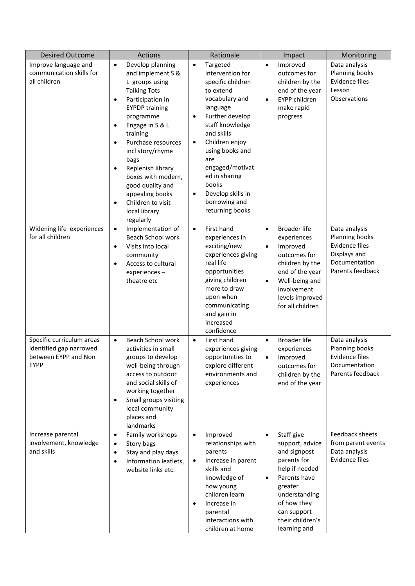| <b>Desired Outcome</b>                                                                      | Actions                                                                                                                                                                                                                                                                                                                                                                                                                                      | Rationale                                                                                                                                                                                                                                                                                                                                              | Impact                                                                                                                                                                                                                 | Monitoring                                                                                             |
|---------------------------------------------------------------------------------------------|----------------------------------------------------------------------------------------------------------------------------------------------------------------------------------------------------------------------------------------------------------------------------------------------------------------------------------------------------------------------------------------------------------------------------------------------|--------------------------------------------------------------------------------------------------------------------------------------------------------------------------------------------------------------------------------------------------------------------------------------------------------------------------------------------------------|------------------------------------------------------------------------------------------------------------------------------------------------------------------------------------------------------------------------|--------------------------------------------------------------------------------------------------------|
| Improve language and<br>communication skills for<br>all children                            | Develop planning<br>$\bullet$<br>and implement S &<br>L groups using<br><b>Talking Tots</b><br>Participation in<br>$\bullet$<br><b>EYPDP training</b><br>programme<br>Engage in S & L<br>$\bullet$<br>training<br>Purchase resources<br>$\bullet$<br>incl story/rhyme<br>bags<br>Replenish library<br>$\bullet$<br>boxes with modern,<br>good quality and<br>appealing books<br>Children to visit<br>$\bullet$<br>local library<br>regularly | Targeted<br>$\bullet$<br>intervention for<br>specific children<br>to extend<br>vocabulary and<br>language<br>Further develop<br>$\bullet$<br>staff knowledge<br>and skills<br>Children enjoy<br>$\bullet$<br>using books and<br>are<br>engaged/motivat<br>ed in sharing<br>books<br>Develop skills in<br>$\bullet$<br>borrowing and<br>returning books | Improved<br>$\bullet$<br>outcomes for<br>children by the<br>end of the year<br><b>EYPP children</b><br>$\bullet$<br>make rapid<br>progress                                                                             | Data analysis<br>Planning books<br>Evidence files<br>Lesson<br>Observations                            |
| Widening life experiences<br>for all children                                               | $\bullet$<br>Implementation of<br>Beach School work<br>Visits into local<br>$\bullet$<br>community<br>Access to cultural<br>$\bullet$<br>experiences-<br>theatre etc                                                                                                                                                                                                                                                                         | First hand<br>$\bullet$<br>experiences in<br>exciting/new<br>experiences giving<br>real life<br>opportunities<br>giving children<br>more to draw<br>upon when<br>communicating<br>and gain in<br>increased<br>confidence                                                                                                                               | <b>Broader life</b><br>$\bullet$<br>experiences<br>Improved<br>$\bullet$<br>outcomes for<br>children by the<br>end of the year<br>Well-being and<br>$\bullet$<br>involvement<br>levels improved<br>for all children    | Data analysis<br>Planning books<br>Evidence files<br>Displays and<br>Documentation<br>Parents feedback |
| Specific curriculum areas<br>identified gap narrowed<br>between EYPP and Non<br><b>EYPP</b> | Beach School work<br>$\bullet$<br>activities in small<br>groups to develop<br>well-being through<br>access to outdoor<br>and social skills of<br>working together<br>Small groups visiting<br>$\bullet$<br>local community<br>places and<br>landmarks                                                                                                                                                                                        | First hand<br>$\bullet$<br>experiences giving<br>opportunities to<br>explore different<br>environments and<br>experiences                                                                                                                                                                                                                              | <b>Broader life</b><br>$\bullet$<br>experiences<br>Improved<br>$\bullet$<br>outcomes for<br>children by the<br>end of the year                                                                                         | Data analysis<br>Planning books<br>Evidence files<br>Documentation<br>Parents feedback                 |
| Increase parental<br>involvement, knowledge<br>and skills                                   | Family workshops<br>$\bullet$<br>Story bags<br>$\bullet$<br>Stay and play days<br>$\bullet$<br>Information leaflets,<br>$\bullet$<br>website links etc.                                                                                                                                                                                                                                                                                      | Improved<br>$\bullet$<br>relationships with<br>parents<br>Increase in parent<br>$\bullet$<br>skills and<br>knowledge of<br>how young<br>children learn<br>Increase in<br>$\bullet$<br>parental<br>interactions with<br>children at home                                                                                                                | Staff give<br>$\bullet$<br>support, advice<br>and signpost<br>parents for<br>help if needed<br>Parents have<br>$\bullet$<br>greater<br>understanding<br>of how they<br>can support<br>their children's<br>learning and | Feedback sheets<br>from parent events<br>Data analysis<br>Evidence files                               |